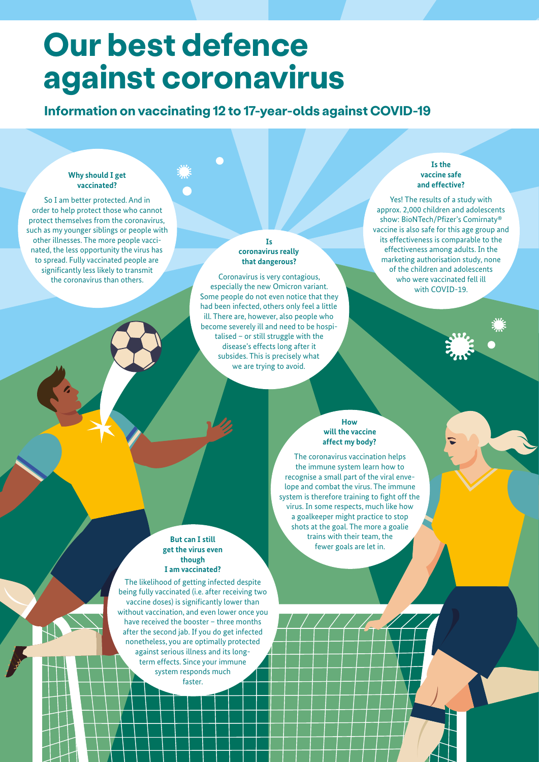# **Our best defence against coronavirus**

## **Information on vaccinating 12 to 17-year-olds against COVID-19**

#### **Why should I get vaccinated?**

So I am better protected. And in order to help protect those who cannot protect themselves from the coronavirus, such as my younger siblings or people with other illnesses. The more people vaccinated, the less opportunity the virus has to spread. Fully vaccinated people are significantly less likely to transmit the coronavirus than others.

#### **Is coronavirus really that dangerous?**

Coronavirus is very contagious, especially the new Omicron variant. Some people do not even notice that they had been infected, others only feel a little ill. There are, however, also people who become severely ill and need to be hospitalised – or still struggle with the disease's effects long after it subsides. This is precisely what we are trying to avoid.

#### **Is the vaccine safe and effective?**

Yes! The results of a study with approx. 2,000 children and adolescents show: BioNTech/Pfizer's Comirnaty® vaccine is also safe for this age group and its effectiveness is comparable to the effectiveness among adults. In the marketing authorisation study, none of the children and adolescents who were vaccinated fell ill with COVID-19.

#### **How will the vaccine affect my body?**

The coronavirus vaccination helps the immune system learn how to recognise a small part of the viral envelope and combat the virus. The immune system is therefore training to fight off the virus. In some respects, much like how a goalkeeper might practice to stop shots at the goal. The more a goalie trains with their team, the fewer goals are let in.

#### **But can I still get the virus even though I am vaccinated?**

The likelihood of getting infected despite being fully vaccinated (i.e. after receiving two vaccine doses) is significantly lower than without vaccination, and even lower once you have received the booster – three months after the second jab. If you do get infected nonetheless, you are optimally protected against serious illness and its longterm effects. Since your immune system responds much faster.